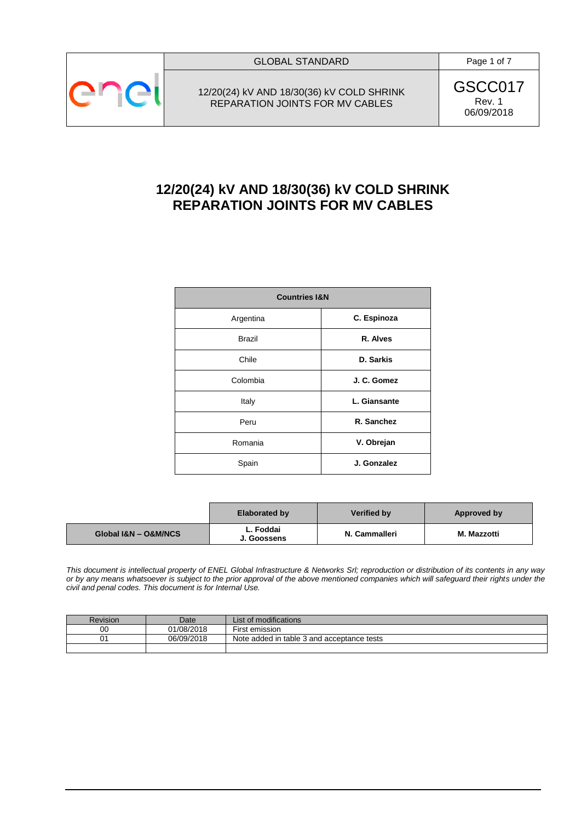

12/20(24) kV AND 18/30(36) kV COLD SHRINK REPARATION JOINTS FOR MV CABLES

GSCC017 Rev. 1 06/09/2018

# **12/20(24) kV AND 18/30(36) kV COLD SHRINK REPARATION JOINTS FOR MV CABLES**

| <b>Countries I&amp;N</b> |              |  |  |  |
|--------------------------|--------------|--|--|--|
| Argentina                | C. Espinoza  |  |  |  |
| <b>Brazil</b>            | R. Alves     |  |  |  |
| Chile                    | D. Sarkis    |  |  |  |
| Colombia                 | J. C. Gomez  |  |  |  |
| Italy                    | L. Giansante |  |  |  |
| Peru                     | R. Sanchez   |  |  |  |
| Romania                  | V. Obrejan   |  |  |  |
| Spain                    | J. Gonzalez  |  |  |  |

|                      | <b>Elaborated by</b>     | Verified by   | Approved by |
|----------------------|--------------------------|---------------|-------------|
| Global I&N - O&M/NCS | L. Foddai<br>J. Goossens | N. Cammalleri | M. Mazzotti |

*This document is intellectual property of ENEL Global Infrastructure & Networks Srl; reproduction or distribution of its contents in any way or by any means whatsoever is subject to the prior approval of the above mentioned companies which will safeguard their rights under the civil and penal codes. This document is for Internal Use.*

| Revision | Date       | List of modifications                      |
|----------|------------|--------------------------------------------|
| 00       | 01/08/2018 | First emission                             |
|          | 06/09/2018 | Note added in table 3 and acceptance tests |
|          |            |                                            |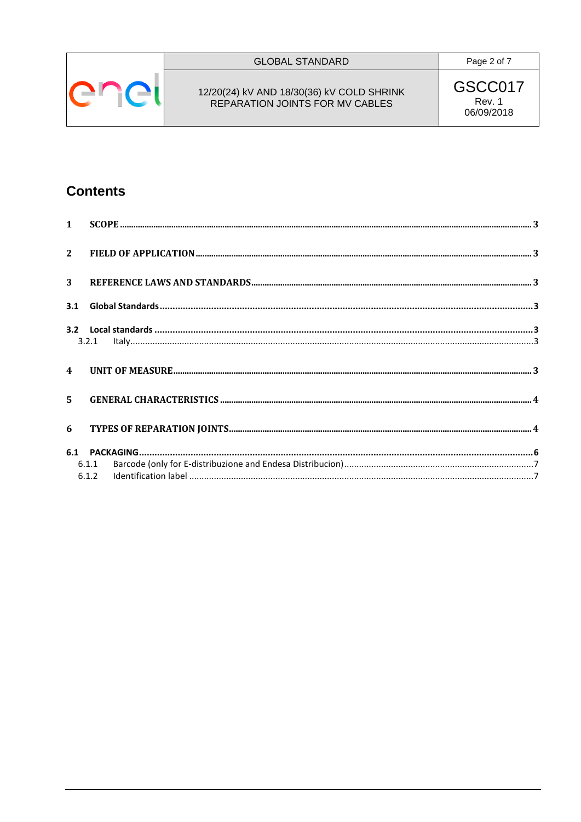

# **GLOBAL STANDARD**

Page 2 of 7

# 12/20(24) kV AND 18/30(36) kV COLD SHRINK<br>REPARATION JOINTS FOR MV CABLES

GSCC017 Rev. 1 06/09/2018

# **Contents**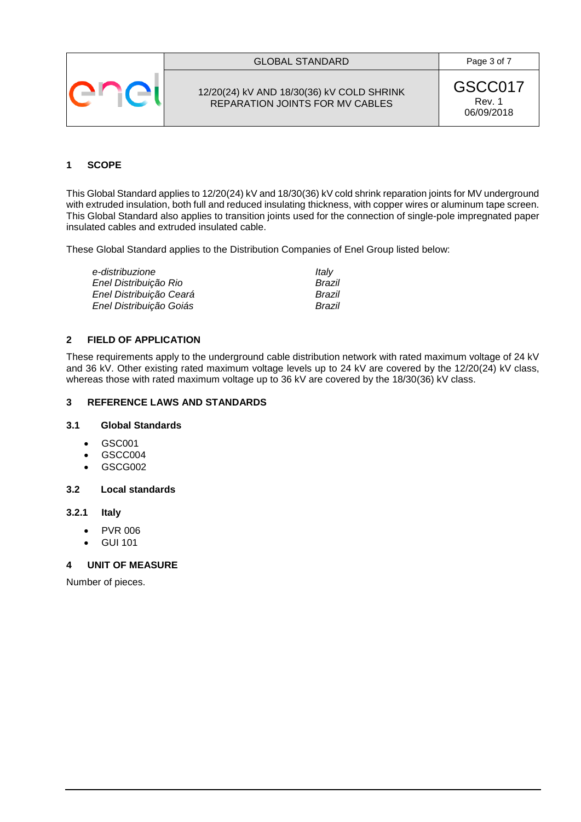



12/20(24) kV AND 18/30(36) kV COLD SHRINK REPARATION JOINTS FOR MV CABLES

GSCC017 Rev. 1 06/09/2018

# <span id="page-2-0"></span>**1 SCOPE**

This Global Standard applies to 12/20(24) kV and 18/30(36) kV cold shrink reparation joints for MV underground with extruded insulation, both full and reduced insulating thickness, with copper wires or aluminum tape screen. This Global Standard also applies to transition joints used for the connection of single-pole impregnated paper insulated cables and extruded insulated cable.

These Global Standard applies to the Distribution Companies of Enel Group listed below:

| e-distribuzione         | Italy  |
|-------------------------|--------|
| Enel Distribuição Rio   | Brazil |
| Enel Distribuição Ceará | Brazil |
| Enel Distribuição Goiás | Brazil |

## <span id="page-2-1"></span>**2 FIELD OF APPLICATION**

These requirements apply to the underground cable distribution network with rated maximum voltage of 24 kV and 36 kV. Other existing rated maximum voltage levels up to 24 kV are covered by the 12/20(24) kV class, whereas those with rated maximum voltage up to 36 kV are covered by the 18/30(36) kV class.

# <span id="page-2-2"></span>**3 REFERENCE LAWS AND STANDARDS**

#### <span id="page-2-3"></span>**3.1 Global Standards**

- GSC001
- GSCC004
- $-$ GSCG002

#### <span id="page-2-4"></span>**3.2 Local standards**

#### <span id="page-2-5"></span>**3.2.1 Italy**

- PVR 006
- GUI 101

#### <span id="page-2-6"></span>**4 UNIT OF MEASURE**

Number of pieces.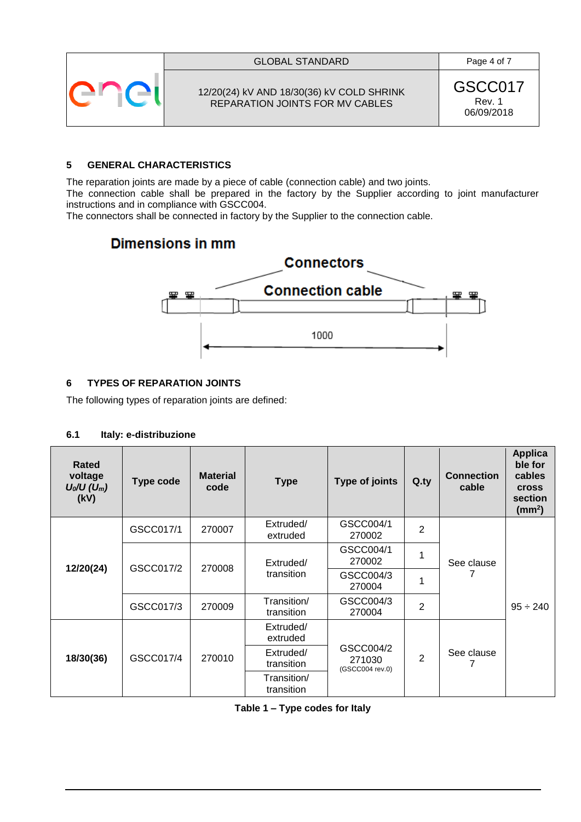



12/20(24) kV AND 18/30(36) kV COLD SHRINK REPARATION JOINTS FOR MV CABLES

GSCC017 Rev. 1 06/09/2018

# <span id="page-3-0"></span>**5 GENERAL CHARACTERISTICS**

The reparation joints are made by a piece of cable (connection cable) and two joints.

The connection cable shall be prepared in the factory by the Supplier according to joint manufacturer instructions and in compliance with GSCC004.

The connectors shall be connected in factory by the Supplier to the connection cable.

# **Dimensions in mm**



# <span id="page-3-1"></span>**6 TYPES OF REPARATION JOINTS**

The following types of reparation joints are defined:

#### **6.1 Italy: e-distribuzione**

| Rated<br>voltage<br>$U_0/U (U_m)$<br>(kV) | <b>Type code</b> | <b>Material</b><br>code | <b>Type</b>                                          | <b>Type of joints</b>                  | Q.py           | <b>Connection</b><br>cable | <b>Applica</b><br>ble for<br>cables<br><b>Cross</b><br>section<br>(mm <sup>2</sup> ) |  |
|-------------------------------------------|------------------|-------------------------|------------------------------------------------------|----------------------------------------|----------------|----------------------------|--------------------------------------------------------------------------------------|--|
|                                           | GSCC017/1        | 270007                  | Extruded/<br>extruded                                | GSCC004/1<br>270002                    | $\overline{2}$ |                            |                                                                                      |  |
| 12/20(24)                                 | GSCC017/2        | 270008                  | Extruded/<br>transition<br>Transition/<br>transition | GSCC004/1<br>270002                    | 1              | See clause<br>7            |                                                                                      |  |
|                                           |                  |                         |                                                      | GSCC004/3<br>270004                    | 1              |                            |                                                                                      |  |
|                                           | GSCC017/3        | 270009                  |                                                      | GSCC004/3<br>270004                    | $\overline{2}$ |                            | $95 \div 240$                                                                        |  |
| 18/30(36)                                 | GSCC017/4        | 270010                  | Extruded/<br>extruded                                | GSCC004/2<br>271030<br>(GSCC004 rev.0) |                |                            |                                                                                      |  |
|                                           |                  |                         | Extruded/<br>transition                              |                                        | $\overline{2}$ | See clause                 |                                                                                      |  |
|                                           |                  |                         | Transition/<br>transition                            |                                        |                |                            |                                                                                      |  |

**Table 1 – Type codes for Italy**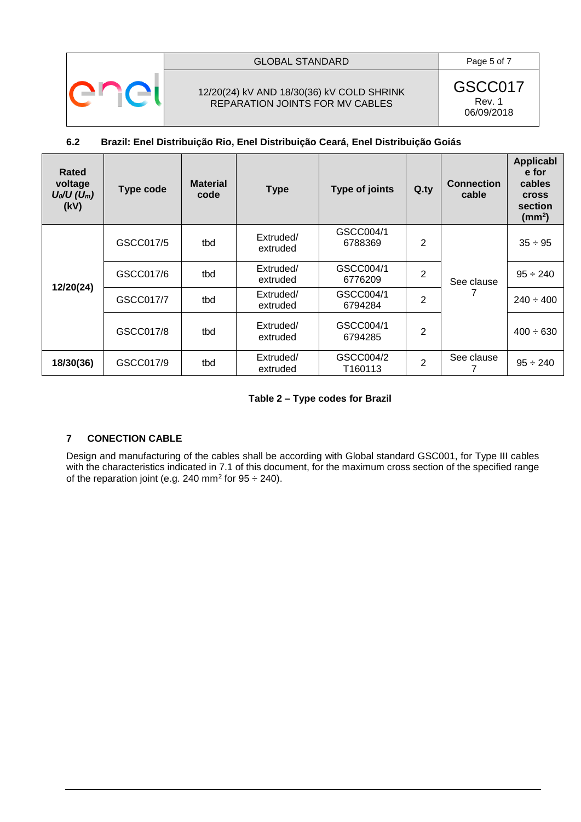

#### GLOBAL STANDARD Page 5 of 7

## 12/20(24) kV AND 18/30(36) kV COLD SHRINK REPARATION JOINTS FOR MV CABLES

GSCC017 Rev. 1 06/09/2018

# **6.2 Brazil: Enel Distribuição Rio, Enel Distribuição Ceará, Enel Distribuição Goiás**

| Rated<br>voltage<br>$U_0/U (U_m)$<br>(kV) | Type code | <b>Material</b><br>code | <b>Type</b>           | Type of joints       | $Q_{.}ty$      | <b>Connection</b><br>cable | <b>Applicabl</b><br>e for<br>cables<br><b>Cross</b><br>section<br>$\text{ (mm}^2\text{)}$ |
|-------------------------------------------|-----------|-------------------------|-----------------------|----------------------|----------------|----------------------------|-------------------------------------------------------------------------------------------|
| 12/20(24)                                 | GSCC017/5 | tbd                     | Extruded/<br>extruded | GSCC004/1<br>6788369 | 2              | See clause                 | $35 \div 95$                                                                              |
|                                           | GSCC017/6 | tbd                     | Extruded/<br>extruded | GSCC004/1<br>6776209 | $\overline{2}$ |                            | $95 \div 240$                                                                             |
|                                           | GSCC017/7 | tbd                     | Extruded/<br>extruded | GSCC004/1<br>6794284 | $\overline{2}$ |                            | $240 \div 400$                                                                            |
|                                           | GSCC017/8 | tbd                     | Extruded/<br>extruded | GSCC004/1<br>6794285 | 2              |                            | $400 \div 630$                                                                            |
| 18/30(36)                                 | GSCC017/9 | tbd                     | Extruded/<br>extruded | GSCC004/2<br>T160113 | $\overline{2}$ | See clause                 | $95 \div 240$                                                                             |

**Table 2 – Type codes for Brazil**

# <span id="page-4-0"></span>**7 CONECTION CABLE**

Design and manufacturing of the cables shall be according with Global standard GSC001, for Type III cables with the characteristics indicated in [7.1](#page-5-1) of this document, for the maximum cross section of the specified range of the reparation joint (e.g. 240 mm<sup>2</sup> for 95 ÷ 240).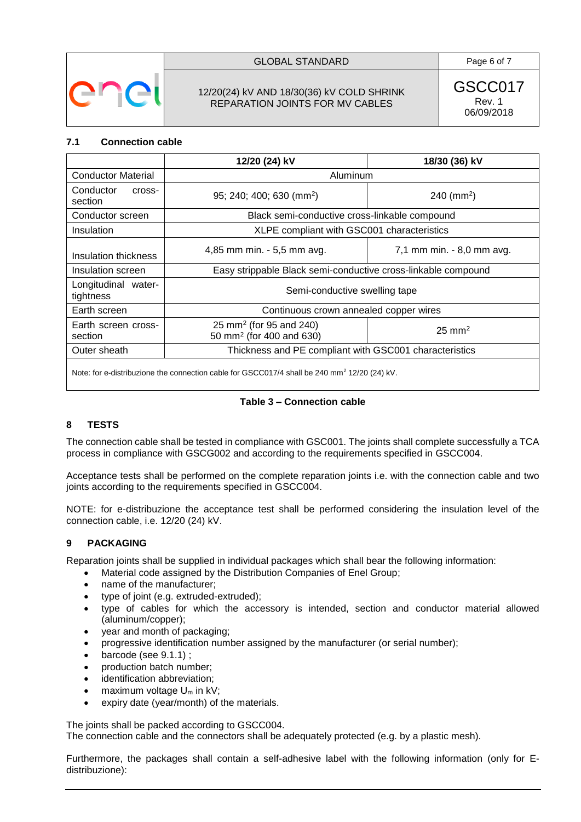

# GLOBAL STANDARD **Page 6 of 7**

# 12/20(24) kV AND 18/30(36) kV COLD SHRINK REPARATION JOINTS FOR MV CABLES

GSCC017 Rev. 1 06/09/2018

#### <span id="page-5-1"></span>**7.1 Connection cable**

|                                  | 12/20 (24) kV                                                               | 18/30 (36) kV                                          |  |  |  |
|----------------------------------|-----------------------------------------------------------------------------|--------------------------------------------------------|--|--|--|
| <b>Conductor Material</b>        |                                                                             | Aluminum                                               |  |  |  |
| Conductor<br>cross-<br>section   | 95; 240; 400; 630 (mm <sup>2</sup> )<br>$240$ (mm <sup>2</sup> )            |                                                        |  |  |  |
| Conductor screen                 | Black semi-conductive cross-linkable compound                               |                                                        |  |  |  |
| Insulation                       | XLPE compliant with GSC001 characteristics                                  |                                                        |  |  |  |
| Insulation thickness             | 4,85 mm min. - 5,5 mm avg.                                                  | 7,1 mm min. - 8,0 mm avg.                              |  |  |  |
| Insulation screen                | Easy strippable Black semi-conductive cross-linkable compound               |                                                        |  |  |  |
| Longitudinal water-<br>tightness | Semi-conductive swelling tape                                               |                                                        |  |  |  |
| Earth screen                     | Continuous crown annealed copper wires                                      |                                                        |  |  |  |
| Earth screen cross-<br>section   | 25 mm <sup>2</sup> (for 95 and 240)<br>50 mm <sup>2</sup> (for 400 and 630) | $25 \text{ mm}^2$                                      |  |  |  |
| Outer sheath                     |                                                                             | Thickness and PE compliant with GSC001 characteristics |  |  |  |
|                                  |                                                                             |                                                        |  |  |  |

Note: for e-distribuzione the connection cable for GSCC017/4 shall be 240 mm<sup>2</sup> 12/20 (24) kV.

#### **Table 3 – Connection cable**

# <span id="page-5-0"></span>**8 TESTS**

The connection cable shall be tested in compliance with GSC001. The joints shall complete successfully a TCA process in compliance with GSCG002 and according to the requirements specified in GSCC004.

Acceptance tests shall be performed on the complete reparation joints i.e. with the connection cable and two joints according to the requirements specified in GSCC004.

NOTE: for e-distribuzione the acceptance test shall be performed considering the insulation level of the connection cable, i.e. 12/20 (24) kV.

# **9 PACKAGING**

Reparation joints shall be supplied in individual packages which shall bear the following information:

- Material code assigned by the Distribution Companies of Enel Group;
- name of the manufacturer;
- type of joint (e.g. extruded-extruded);
- type of cables for which the accessory is intended, section and conductor material allowed (aluminum/copper);
- year and month of packaging;
- progressive identification number assigned by the manufacturer (or serial number);
- barcode (see [9.1.1\)](#page-6-0) ;
- production batch number;
- identification abbreviation;
- maximum voltage  $U_m$  in kV;
- expiry date (year/month) of the materials.

The joints shall be packed according to GSCC004.

The connection cable and the connectors shall be adequately protected (e.g. by a plastic mesh).

Furthermore, the packages shall contain a self-adhesive label with the following information (only for Edistribuzione):